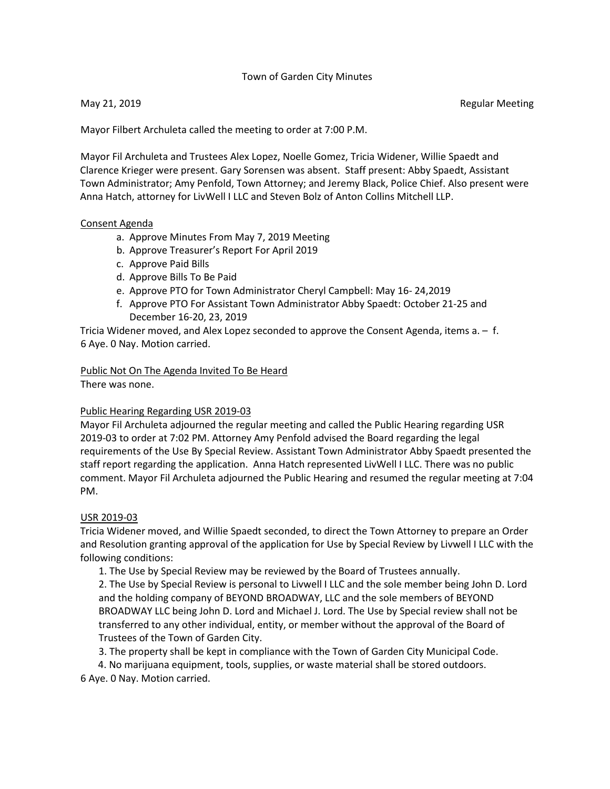#### Town of Garden City Minutes

May 21, 2019 **Regular Meeting** 

Mayor Filbert Archuleta called the meeting to order at 7:00 P.M.

Mayor Fil Archuleta and Trustees Alex Lopez, Noelle Gomez, Tricia Widener, Willie Spaedt and Clarence Krieger were present. Gary Sorensen was absent. Staff present: Abby Spaedt, Assistant Town Administrator; Amy Penfold, Town Attorney; and Jeremy Black, Police Chief. Also present were Anna Hatch, attorney for LivWell I LLC and Steven Bolz of Anton Collins Mitchell LLP.

#### Consent Agenda

- a. Approve Minutes From May 7, 2019 Meeting
- b. Approve Treasurer's Report For April 2019
- c. Approve Paid Bills
- d. Approve Bills To Be Paid
- e. Approve PTO for Town Administrator Cheryl Campbell: May 16- 24,2019
- f. Approve PTO For Assistant Town Administrator Abby Spaedt: October 21-25 and December 16-20, 23, 2019

Tricia Widener moved, and Alex Lopez seconded to approve the Consent Agenda, items a. – f. 6 Aye. 0 Nay. Motion carried.

# Public Not On The Agenda Invited To Be Heard

There was none.

### Public Hearing Regarding USR 2019-03

Mayor Fil Archuleta adjourned the regular meeting and called the Public Hearing regarding USR 2019-03 to order at 7:02 PM. Attorney Amy Penfold advised the Board regarding the legal requirements of the Use By Special Review. Assistant Town Administrator Abby Spaedt presented the staff report regarding the application. Anna Hatch represented LivWell I LLC. There was no public comment. Mayor Fil Archuleta adjourned the Public Hearing and resumed the regular meeting at 7:04 PM.

### USR 2019-03

Tricia Widener moved, and Willie Spaedt seconded, to direct the Town Attorney to prepare an Order and Resolution granting approval of the application for Use by Special Review by Livwell I LLC with the following conditions:

1. The Use by Special Review may be reviewed by the Board of Trustees annually.

2. The Use by Special Review is personal to Livwell I LLC and the sole member being John D. Lord and the holding company of BEYOND BROADWAY, LLC and the sole members of BEYOND BROADWAY LLC being John D. Lord and Michael J. Lord. The Use by Special review shall not be transferred to any other individual, entity, or member without the approval of the Board of Trustees of the Town of Garden City.

3. The property shall be kept in compliance with the Town of Garden City Municipal Code.

4. No marijuana equipment, tools, supplies, or waste material shall be stored outdoors. 6 Aye. 0 Nay. Motion carried.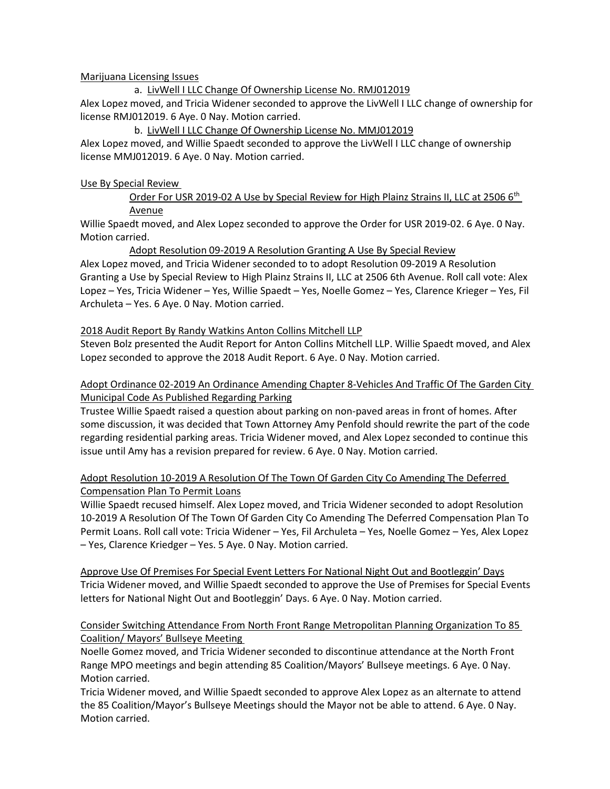### Marijuana Licensing Issues

a. LivWell I LLC Change Of Ownership License No. RMJ012019 Alex Lopez moved, and Tricia Widener seconded to approve the LivWell I LLC change of ownership for license RMJ012019. 6 Aye. 0 Nay. Motion carried.

#### b. LivWell I LLC Change Of Ownership License No. MMJ012019

Alex Lopez moved, and Willie Spaedt seconded to approve the LivWell I LLC change of ownership license MMJ012019. 6 Aye. 0 Nay. Motion carried.

#### Use By Special Review

Order For USR 2019-02 A Use by Special Review for High Plainz Strains II, LLC at 2506 6<sup>th</sup> Avenue

Willie Spaedt moved, and Alex Lopez seconded to approve the Order for USR 2019-02. 6 Aye. 0 Nay. Motion carried.

### Adopt Resolution 09-2019 A Resolution Granting A Use By Special Review

Alex Lopez moved, and Tricia Widener seconded to to adopt Resolution 09-2019 A Resolution Granting a Use by Special Review to High Plainz Strains II, LLC at 2506 6th Avenue. Roll call vote: Alex Lopez – Yes, Tricia Widener – Yes, Willie Spaedt – Yes, Noelle Gomez – Yes, Clarence Krieger – Yes, Fil Archuleta – Yes. 6 Aye. 0 Nay. Motion carried.

#### 2018 Audit Report By Randy Watkins Anton Collins Mitchell LLP

Steven Bolz presented the Audit Report for Anton Collins Mitchell LLP. Willie Spaedt moved, and Alex Lopez seconded to approve the 2018 Audit Report. 6 Aye. 0 Nay. Motion carried.

### Adopt Ordinance 02-2019 An Ordinance Amending Chapter 8-Vehicles And Traffic Of The Garden City Municipal Code As Published Regarding Parking

Trustee Willie Spaedt raised a question about parking on non-paved areas in front of homes. After some discussion, it was decided that Town Attorney Amy Penfold should rewrite the part of the code regarding residential parking areas. Tricia Widener moved, and Alex Lopez seconded to continue this issue until Amy has a revision prepared for review. 6 Aye. 0 Nay. Motion carried.

## Adopt Resolution 10-2019 A Resolution Of The Town Of Garden City Co Amending The Deferred Compensation Plan To Permit Loans

Willie Spaedt recused himself. Alex Lopez moved, and Tricia Widener seconded to adopt Resolution 10-2019 A Resolution Of The Town Of Garden City Co Amending The Deferred Compensation Plan To Permit Loans. Roll call vote: Tricia Widener – Yes, Fil Archuleta – Yes, Noelle Gomez – Yes, Alex Lopez – Yes, Clarence Kriedger – Yes. 5 Aye. 0 Nay. Motion carried.

Approve Use Of Premises For Special Event Letters For National Night Out and Bootleggin' Days Tricia Widener moved, and Willie Spaedt seconded to approve the Use of Premises for Special Events letters for National Night Out and Bootleggin' Days. 6 Aye. 0 Nay. Motion carried.

### Consider Switching Attendance From North Front Range Metropolitan Planning Organization To 85 Coalition/ Mayors' Bullseye Meeting

Noelle Gomez moved, and Tricia Widener seconded to discontinue attendance at the North Front Range MPO meetings and begin attending 85 Coalition/Mayors' Bullseye meetings. 6 Aye. 0 Nay. Motion carried.

Tricia Widener moved, and Willie Spaedt seconded to approve Alex Lopez as an alternate to attend the 85 Coalition/Mayor's Bullseye Meetings should the Mayor not be able to attend. 6 Aye. 0 Nay. Motion carried.